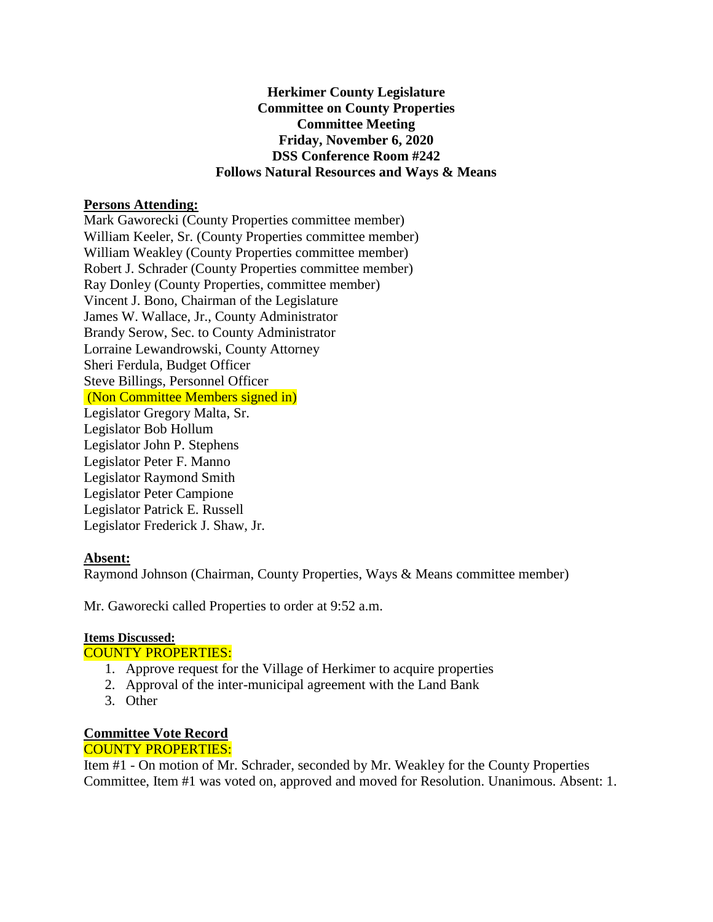### **Herkimer County Legislature Committee on County Properties Committee Meeting Friday, November 6, 2020 DSS Conference Room #242 Follows Natural Resources and Ways & Means**

#### **Persons Attending:**

Mark Gaworecki (County Properties committee member) William Keeler, Sr. (County Properties committee member) William Weakley (County Properties committee member) Robert J. Schrader (County Properties committee member) Ray Donley (County Properties, committee member) Vincent J. Bono, Chairman of the Legislature James W. Wallace, Jr., County Administrator Brandy Serow, Sec. to County Administrator Lorraine Lewandrowski, County Attorney Sheri Ferdula, Budget Officer Steve Billings, Personnel Officer (Non Committee Members signed in) Legislator Gregory Malta, Sr. Legislator Bob Hollum Legislator John P. Stephens Legislator Peter F. Manno Legislator Raymond Smith Legislator Peter Campione Legislator Patrick E. Russell Legislator Frederick J. Shaw, Jr.

# **Absent:**

Raymond Johnson (Chairman, County Properties, Ways & Means committee member)

Mr. Gaworecki called Properties to order at 9:52 a.m.

#### **Items Discussed:**

#### COUNTY PROPERTIES:

- 1. Approve request for the Village of Herkimer to acquire properties
- 2. Approval of the inter-municipal agreement with the Land Bank
- 3. Other

# **Committee Vote Record**

## COUNTY PROPERTIES:

Item #1 - On motion of Mr. Schrader, seconded by Mr. Weakley for the County Properties Committee, Item #1 was voted on, approved and moved for Resolution. Unanimous. Absent: 1.